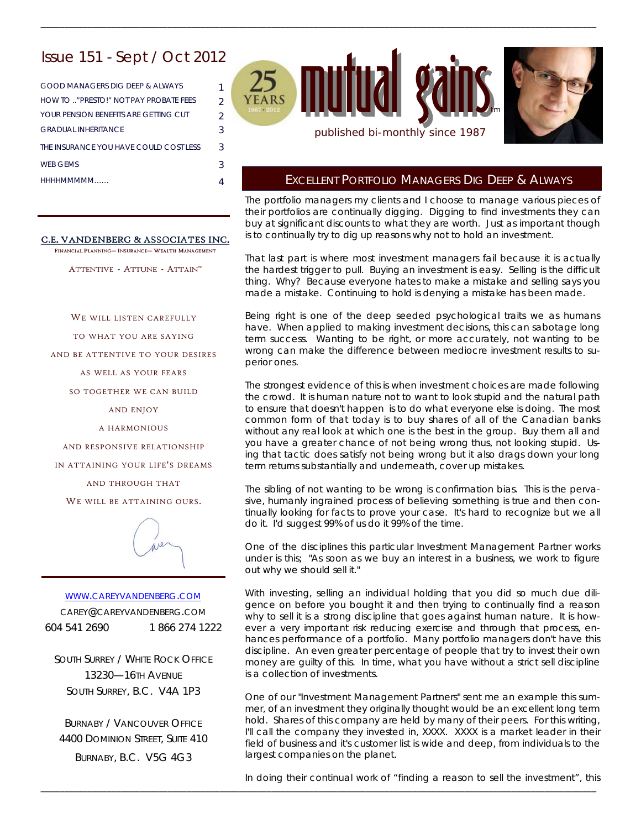# Issue 151 - Sept / Oct 2012

| GOOD MANAGERS DIG DEEP & ALWAYS        |               |
|----------------------------------------|---------------|
| HOW TO " PRESTO!" NOT PAY PROBATE FFES | $\mathcal{P}$ |
| YOUR PENSION BENEFITS ARE GETTING CUT  | $\mathcal{P}$ |
| <b>GRADUAL INHERITANCE</b>             | 3             |
| THE INSURANCE YOU HAVE COULD COST LESS | 3             |
| <b>WER GEMS</b>                        | 3             |
| ННННММММММ                             |               |

### C.E. VANDENBERG & ASSOCIATES INC.

FINANCIAL PLANNING- INSURANCE- WEALTH MANAGEMENT

ATTENTIVE - ATTUNE - ATTAIN<sup>™</sup>

WE WILL LISTEN CAREFULLY

TO WHAT YOU ARE SAYING

AND BE ATTENTIVE TO YOUR DESIRES

AS WELL AS YOUR FEARS

SO TOGETHER WE CAN BUILD

AND ENJOY

A HARMONIOUS

AND RESPONSIVE RELATIONSHIP

IN ATTAINING YOUR LIFE'S DREAMS

AND THROUGH THAT

WE WILL BE ATTAINING OURS.



WWW.CAREYVANDENBERG.COM CAREY@CAREYVANDENBERG.COM 604 541 2690 1 866 274 1222

SOUTH SURREY / WHITE ROCK OFFICE 13230—16TH AVENUE SOUTH SURREY, B.C. V4A 1P3

BURNABY / VANCOUVER OFFICE 4400 DOMINION STREET, SUITE 410 BURNABY, B.C. V5G 4G3



\_\_\_\_\_\_\_\_\_\_\_\_\_\_\_\_\_\_\_\_\_\_\_\_\_\_\_\_\_\_\_\_\_\_\_\_\_\_\_\_\_\_\_\_\_\_\_\_\_\_\_\_\_\_\_\_\_\_\_\_\_\_\_\_\_\_\_\_\_\_\_\_\_\_\_\_\_\_\_\_\_\_\_\_\_\_\_\_\_\_\_\_\_\_\_\_\_\_\_\_\_\_\_\_\_\_\_\_\_\_\_\_\_\_\_\_\_\_

### EXCELLENT PORTFOLIO MANAGERS DIG DEEP & ALWAYS

The portfolio managers my clients and I choose to manage various pieces of their portfolios are continually digging. Digging to find investments they can buy at significant discounts to what they are worth. Just as important though is to continually try to dig up reasons why not to hold an investment.

That last part is where most investment managers fail because it is actually the hardest trigger to pull. Buying an investment is easy. Selling is the difficult thing. Why? Because everyone hates to make a mistake and selling says you made a mistake. Continuing to hold is denying a mistake has been made.

Being right is one of the deep seeded psychological traits we as humans have. When applied to making investment decisions, this can sabotage long term success. Wanting to be right, or more accurately, not wanting to be wrong can make the difference between mediocre investment results to superior ones.

The strongest evidence of this is when investment choices are made following the crowd. It is human nature not to want to look stupid and the natural path to ensure that doesn't happen is to do what everyone else is doing. The most common form of that today is to buy shares of all of the Canadian banks without any real look at which one is the best in the group. Buy them all and you have a greater chance of not being wrong thus, not looking stupid. Using that tactic does satisfy not being wrong but it also drags down your long term returns substantially and underneath, cover up mistakes.

The sibling of not wanting to be wrong is confirmation bias. This is the pervasive, humanly ingrained process of believing something is true and then continually looking for facts to prove your case. It's hard to recognize but we all do it. I'd suggest 99% of us do it 99% of the time.

One of the disciplines this particular Investment Management Partner works under is this; "As soon as we buy an interest in a business, we work to figure out why we should sell it."

With investing, selling an individual holding that you did so much due diligence on before you bought it and then trying to continually find a reason why to sell it is a strong discipline that goes against human nature. It is however a very important risk reducing exercise and through that process, enhances performance of a portfolio. Many portfolio managers don't have this discipline. An even greater percentage of people that try to invest their own money are guilty of this. In time, what you have without a strict sell discipline is a collection of investments.

One of our "Investment Management Partners" sent me an example this summer, of an investment they originally thought would be an excellent long term hold. Shares of this company are held by many of their peers. For this writing, I'll call the company they invested in, XXXX. XXXX is a market leader in their field of business and it's customer list is wide and deep, from individuals to the largest companies on the planet.

In doing their continual work of "finding a reason to sell the investment", this

\_\_\_\_\_\_\_\_\_\_\_\_\_\_\_\_\_\_\_\_\_\_\_\_\_\_\_\_\_\_\_\_\_\_\_\_\_\_\_\_\_\_\_\_\_\_\_\_\_\_\_\_\_\_\_\_\_\_\_\_\_\_\_\_\_\_\_\_\_\_\_\_\_\_\_\_\_\_\_\_\_\_\_\_\_\_\_\_\_\_\_\_\_\_\_\_\_\_\_\_\_\_\_\_\_\_\_\_\_\_\_\_\_\_\_\_\_\_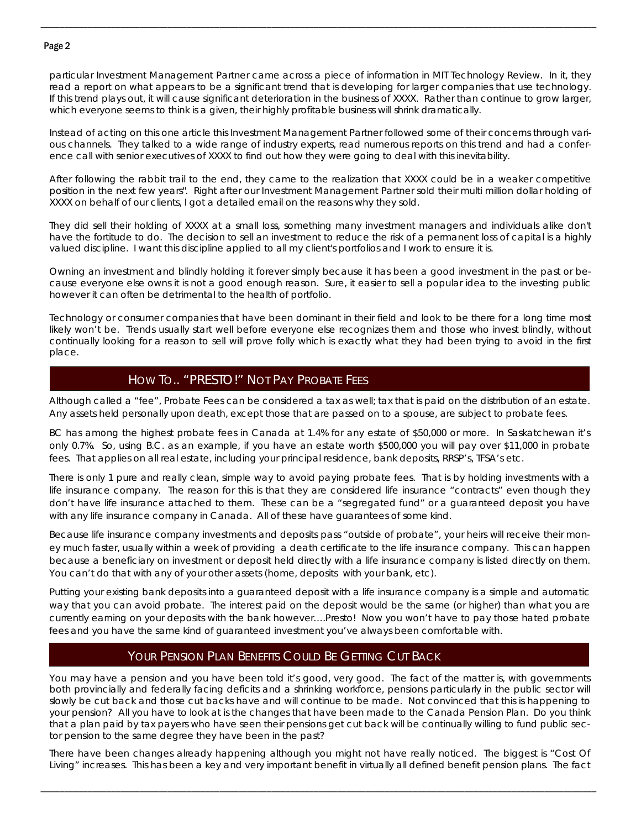### Page 2

particular Investment Management Partner came across a piece of information in MIT Technology Review. In it, they read a report on what appears to be a significant trend that is developing for larger companies that use technology. If this trend plays out, it will cause significant deterioration in the business of XXXX. Rather than continue to grow larger, which everyone seems to think is a given, their highly profitable business will shrink dramatically.

\_\_\_\_\_\_\_\_\_\_\_\_\_\_\_\_\_\_\_\_\_\_\_\_\_\_\_\_\_\_\_\_\_\_\_\_\_\_\_\_\_\_\_\_\_\_\_\_\_\_\_\_\_\_\_\_\_\_\_\_\_\_\_\_\_\_\_\_\_\_\_\_\_\_\_\_\_\_\_\_\_\_\_\_\_\_\_\_\_\_\_\_\_\_\_\_\_\_\_\_\_\_\_\_\_\_\_\_\_\_\_\_\_\_\_\_\_\_

Instead of acting on this one article this Investment Management Partner followed some of their concerns through various channels. They talked to a wide range of industry experts, read numerous reports on this trend and had a conference call with senior executives of XXXX to find out how they were going to deal with this inevitability.

After following the rabbit trail to the end, they came to the realization that XXXX could be in a weaker competitive position in the next few years". Right after our Investment Management Partner sold their multi million dollar holding of XXXX on behalf of our clients, I got a detailed email on the reasons why they sold.

They did sell their holding of XXXX at a small loss, something many investment managers and individuals alike don't have the fortitude to do. The decision to sell an investment to reduce the risk of a permanent loss of capital is a highly valued discipline. I want this discipline applied to all my client's portfolios and I work to ensure it is.

Owning an investment and blindly holding it forever simply because it has been a good investment in the past or because everyone else owns it is not a good enough reason. Sure, it easier to sell a popular idea to the investing public however it can often be detrimental to the health of portfolio.

Technology or consumer companies that have been dominant in their field and look to be there for a long time most likely won't be. Trends usually start well before everyone else recognizes them and those who invest blindly, without continually looking for a reason to sell will prove folly which is exactly what they had been trying to avoid in the first place.

# HOW TO.. "PRESTO!" NOT PAY PROBATE FEES

Although called a "fee", Probate Fees can be considered a tax as well; tax that is paid on the distribution of an estate. Any assets held personally upon death, except those that are passed on to a spouse, are subject to probate fees.

BC has among the highest probate fees in Canada at 1.4% for any estate of \$50,000 or more. In Saskatchewan it's only 0.7%. So, using B.C. as an example, if you have an estate worth \$500,000 you will pay over \$11,000 in probate fees. That applies on all real estate, including your principal residence, bank deposits, RRSP's, TFSA's etc.

There is only 1 pure and really clean, simple way to avoid paying probate fees. That is by holding investments with a life insurance company. The reason for this is that they are considered life insurance "contracts" even though they don't have life insurance attached to them. These can be a "segregated fund" or a guaranteed deposit you have with any life insurance company in Canada. All of these have guarantees of some kind.

Because life insurance company investments and deposits pass "outside of probate", your heirs will receive their money much faster, usually within a week of providing a death certificate to the life insurance company. This can happen because a beneficiary on investment or deposit held directly with a life insurance company is listed directly on them. You can't do that with any of your other assets (home, deposits with your bank, etc).

Putting your existing bank deposits into a guaranteed deposit with a life insurance company is a simple and automatic way that you can avoid probate. The interest paid on the deposit would be the same (or higher) than what you are currently earning on your deposits with the bank however….Presto! Now you won't have to pay those hated probate fees and you have the same kind of guaranteed investment you've always been comfortable with.

# YOUR PENSION PLAN BENEFITS COULD BE GETTING CUT BACK

You may have a pension and you have been told it's good, very good. The fact of the matter is, with governments both provincially and federally facing deficits and a shrinking workforce, pensions particularly in the public sector will slowly be cut back and those cut backs have and will continue to be made. Not convinced that this is happening to your pension? All you have to look at is the changes that have been made to the Canada Pension Plan. Do you think that a plan paid by tax payers who have seen their pensions get cut back will be continually willing to fund public sector pension to the same degree they have been in the past?

There have been changes already happening although you might not have really noticed. The biggest is "Cost Of Living" increases. This has been a key and very important benefit in virtually all defined benefit pension plans. The fact

\_\_\_\_\_\_\_\_\_\_\_\_\_\_\_\_\_\_\_\_\_\_\_\_\_\_\_\_\_\_\_\_\_\_\_\_\_\_\_\_\_\_\_\_\_\_\_\_\_\_\_\_\_\_\_\_\_\_\_\_\_\_\_\_\_\_\_\_\_\_\_\_\_\_\_\_\_\_\_\_\_\_\_\_\_\_\_\_\_\_\_\_\_\_\_\_\_\_\_\_\_\_\_\_\_\_\_\_\_\_\_\_\_\_\_\_\_\_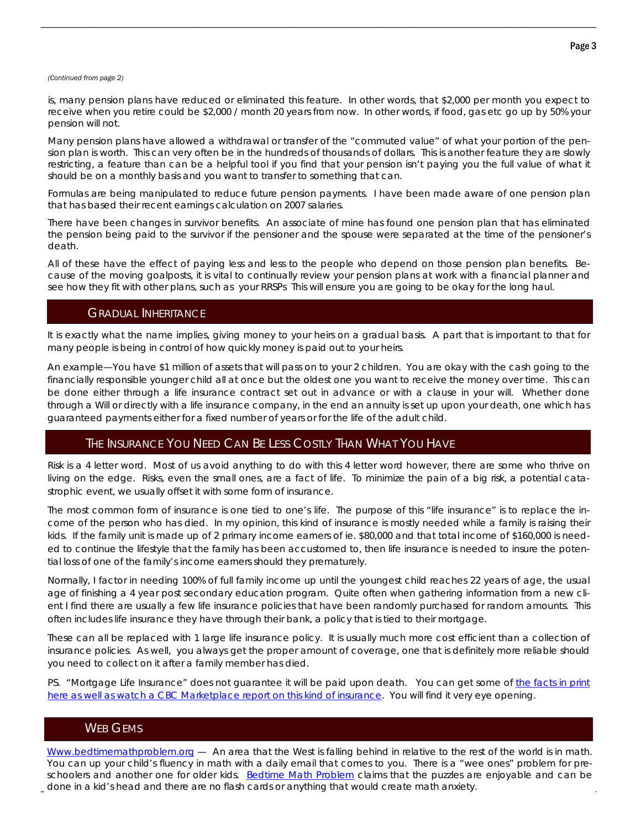#### *(Continued from page 2)*

is, many pension plans have reduced or eliminated this feature. In other words, that \$2,000 per month you expect to receive when you retire could be \$2,000 / month 20 years from now. In other words, if food, gas etc go up by 50% your pension will not.

\_\_\_\_\_\_\_\_\_\_\_\_\_\_\_\_\_\_\_\_\_\_\_\_\_\_\_\_\_\_\_\_\_\_\_\_\_\_\_\_\_\_\_\_\_\_\_\_\_\_\_\_\_\_\_\_\_\_\_\_\_\_\_\_\_\_\_\_\_\_\_\_\_\_\_\_\_\_\_\_\_\_\_\_\_\_\_\_\_\_\_\_\_\_\_\_\_\_\_\_\_\_\_\_\_\_\_\_\_\_\_\_\_\_\_\_\_\_

Many pension plans have allowed a withdrawal or transfer of the "commuted value" of what your portion of the pension plan is worth. This can very often be in the hundreds of thousands of dollars. This is another feature they are slowly restricting, a feature than can be a helpful tool if you find that your pension isn't paying you the full value of what it should be on a monthly basis and you want to transfer to something that can.

Formulas are being manipulated to reduce future pension payments. I have been made aware of one pension plan that has based their recent earnings calculation on 2007 salaries.

There have been changes in survivor benefits. An associate of mine has found one pension plan that has eliminated the pension being paid to the survivor if the pensioner and the spouse were separated at the time of the pensioner's death.

All of these have the effect of paying less and less to the people who depend on those pension plan benefits. Because of the moving goalposts, it is vital to continually review your pension plans at work with a financial planner and see how they fit with other plans, such as your RRSPs This will ensure you are going to be okay for the long haul.

### GRADUAL INHERITANCE

It is exactly what the name implies, giving money to your heirs on a gradual basis. A part that is important to that for many people is being in control of how quickly money is paid out to your heirs.

An example—You have \$1 million of assets that will pass on to your 2 children. You are okay with the cash going to the financially responsible younger child all at once but the oldest one you want to receive the money over time. This can be done either through a life insurance contract set out in advance or with a clause in your will. Whether done through a Will or directly with a life insurance company, in the end an annuity is set up upon your death, one which has guaranteed payments either for a fixed number of years or for the life of the adult child.

## THE INSURANCE YOU NEED CAN BE LESS COSTLY THAN WHAT YOU HAVE

Risk is a 4 letter word. Most of us avoid anything to do with this 4 letter word however, there are some who thrive on living on the edge. Risks, even the small ones, are a fact of life. To minimize the pain of a big risk, a potential catastrophic event, we usually offset it with some form of insurance.

The most common form of insurance is one tied to one's life. The purpose of this "life insurance" is to replace the income of the person who has died. In my opinion, this kind of insurance is mostly needed while a family is raising their kids. If the family unit is made up of 2 primary income earners of ie. \$80,000 and that total income of \$160,000 is needed to continue the lifestyle that the family has been accustomed to, then life insurance is needed to insure the potential loss of one of the family's income earners should they prematurely.

Normally, I factor in needing 100% of full family income up until the youngest child reaches 22 years of age, the usual age of finishing a 4 year post secondary education program. Quite often when gathering information from a new client I find there are usually a few life insurance policies that have been randomly purchased for random amounts. This often includes life insurance they have through their bank, a policy that is tied to their mortgage.

These can all be replaced with 1 large life insurance policy. It is usually much more cost efficient than a collection of insurance policies. As well, you always get the proper amount of coverage, one that is definitely more reliable should you need to collect on it after a family member has died.

PS. "Mortgage Life Insurance" does not guarantee it will be paid upon death. You can get some of the facts in print here as well as watch a CBC Marketplace report on this kind of insurance. You will find it very eye opening.

## WEB GEMS

\_\_\_\_\_\_\_\_\_\_\_\_\_\_\_\_\_\_\_\_\_\_\_\_\_\_\_\_\_\_\_\_\_\_\_\_\_\_\_\_\_\_\_\_\_\_\_\_\_\_\_\_\_\_\_\_\_\_\_\_\_\_\_\_\_\_\_\_\_\_\_\_\_\_\_\_\_\_\_\_\_\_\_\_\_\_\_\_\_\_\_\_\_\_\_\_\_\_\_\_\_\_\_\_\_\_\_\_\_\_\_\_\_\_\_\_\_\_ done in a kid's head and there are no flash cards or anything that would create math anxiety. Www.bedtimemathproblem.org — An area that the West is falling behind in relative to the rest of the world is in math. You can up your child's fluency in math with a daily email that comes to you. There is a "wee ones" problem for preschoolers and another one for older kids. Bedtime Math Problem claims that the puzzles are enjoyable and can be